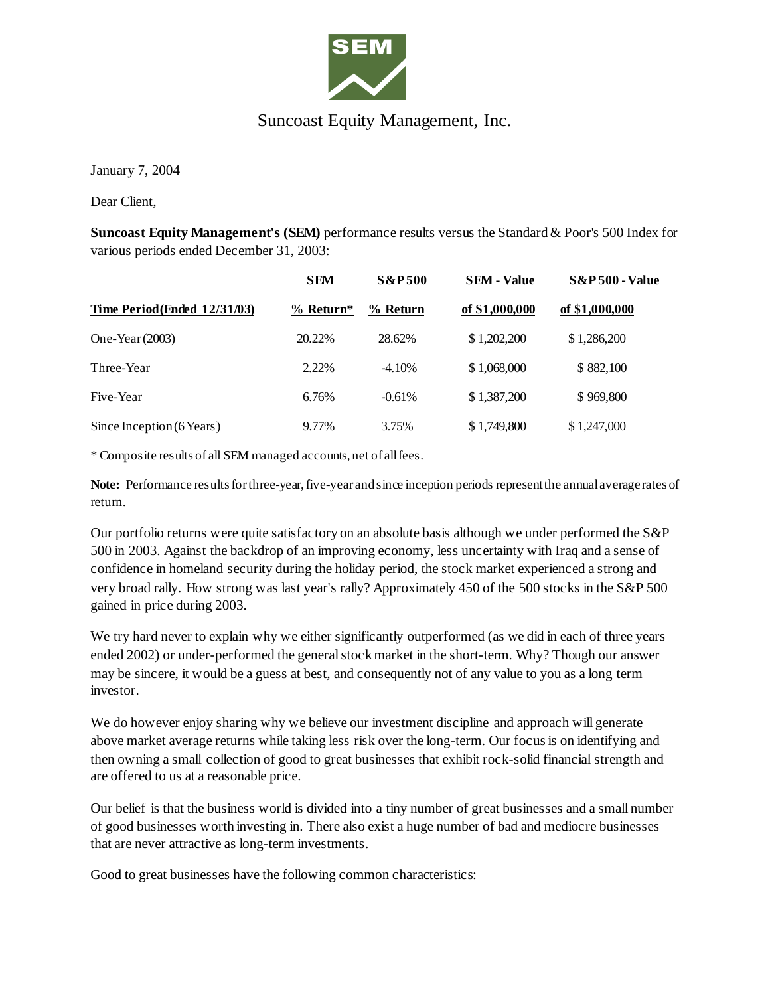

## Suncoast Equity Management, Inc.

January 7, 2004

Dear Client,

**Suncoast Equity Management's (SEM)** performance results versus the Standard & Poor's 500 Index for various periods ended December 31, 2003:

| Time Period (Ended 12/31/03) | <b>SEM</b><br>$\frac{9}{6}$ Return* | <b>S&amp;P500</b><br>% Return | <b>SEM - Value</b><br>of \$1,000,000 | <b>S&amp;P 500 - Value</b><br>of \$1,000,000 |
|------------------------------|-------------------------------------|-------------------------------|--------------------------------------|----------------------------------------------|
|                              |                                     |                               |                                      |                                              |
| Three-Year                   | 2.22%                               | $-4.10%$                      | \$1,068,000                          | \$882,100                                    |
| Five-Year                    | 6.76%                               | $-0.61%$                      | \$1,387,200                          | \$969,800                                    |
| Since Inception (6 Years)    | 9.77%                               | 3.75%                         | \$1,749,800                          | \$1,247,000                                  |

\* Composite results of all SEM managed accounts, net of all fees.

**Note:** Performance results for three-year, five-year and since inception periods represent the annual average rates of return.

Our portfolio returns were quite satisfactory on an absolute basis although we under performed the S&P 500 in 2003. Against the backdrop of an improving economy, less uncertainty with Iraq and a sense of confidence in homeland security during the holiday period, the stock market experienced a strong and very broad rally. How strong was last year's rally? Approximately 450 of the 500 stocks in the S&P 500 gained in price during 2003.

We try hard never to explain why we either significantly outperformed (as we did in each of three years ended 2002) or under-performed the general stock market in the short-term. Why? Though our answer may be sincere, it would be a guess at best, and consequently not of any value to you as a long term investor.

We do however enjoy sharing why we believe our investment discipline and approach will generate above market average returns while taking less risk over the long-term. Our focus is on identifying and then owning a small collection of good to great businesses that exhibit rock-solid financial strength and are offered to us at a reasonable price.

Our belief is that the business world is divided into a tiny number of great businesses and a small number of good businesses worth investing in. There also exist a huge number of bad and mediocre businesses that are never attractive as long-term investments.

Good to great businesses have the following common characteristics: